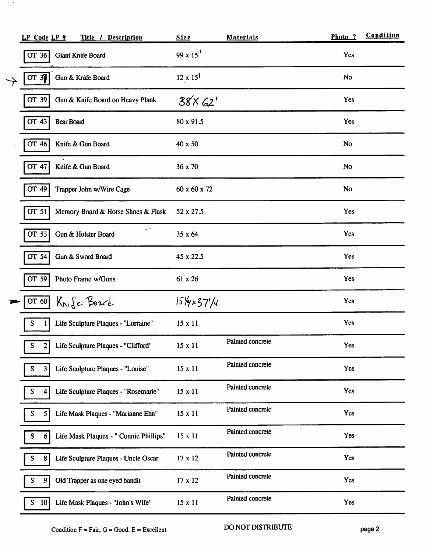| LP Code LP #         |                   | Title / Description                    | <b>Size</b>                          | <b>Materials</b> | Photo ?    | Condition |
|----------------------|-------------------|----------------------------------------|--------------------------------------|------------------|------------|-----------|
| OT 36                |                   | <b>Giant Knife Board</b>               | 99 x 15 $'$                          |                  | Yes        |           |
| OT 37                |                   | Gun & Knife Board                      | $12 \times 15^{1}$                   |                  | No         |           |
| OT 39                |                   | Gun & Knife Board on Heavy Plank       | 38×62'                               |                  | Yes        |           |
| OT 43                | <b>Bear Board</b> |                                        | 80 x 91.5                            |                  | Yes        |           |
| OT 46                |                   | Knife & Gun Board                      | 40 x 50                              |                  | <b>No</b>  |           |
| OT 47                |                   | Knife & Gun Board                      | 36 x 70                              |                  | <b>No</b>  |           |
| OT 49                |                   | Trapper John w/Wire Cage               | 60 x 60 x 72                         |                  | <b>No</b>  |           |
| OT 51                |                   | Memory Board & Horse Shoes & Flask     | 52 x 27.5                            |                  | Yes        |           |
| OT 53                |                   | سن<br>Gun & Holster Board              | 35 x 64                              |                  | <b>Yes</b> |           |
| OT 54                |                   | Gun & Sword Board                      | 45 x 22.5                            |                  | Yes        |           |
| $OT$ 59              |                   | Photo Frame w/Guns                     | 61 x 26                              |                  | Yes        |           |
| OT 60                |                   | Knife Board                            | $15\frac{1}{4} \times 37\frac{1}{4}$ |                  | Yes        |           |
| S<br>1               |                   | Life Sculpture Plaques - "Lorraine"    | 15 x 11                              |                  | Yes        |           |
| S<br>$\mathbf{2}$    |                   | Life Sculpture Plaques - "Clifford"    | 15 x 11                              | Painted concrete | Yes        |           |
| S<br>$\vert 3 \vert$ |                   | Life Sculpture Plaques - "Louise"      | $15 \times 11$                       | Painted concrete | Yes        |           |
| S<br>4               |                   | Life Sculpture Plaques - "Rosemarie"   | $15 \times 11$                       | Painted concrete | Yes        |           |
| S<br>5               |                   | Life Mask Plaques - "Marianne Ehn"     | $15 \times 11$                       | Painted concrete | Yes        |           |
| S<br>$6 \mid$        |                   | Life Mask Plaques - " Connie Phillips" | 15 x 11                              | Painted concrete | Yes        |           |
| S<br>8               |                   | Life Sculpture Plaques - Uncle Oscar   | 17 x 12                              | Painted concrete | Yes        |           |
| ${\bf S}$<br>9       |                   | Old Trapper as one eyed bandit         | 17 x 12                              | Painted concrete | Yes        |           |
| S<br>10              |                   | Life Mask Plaques - "John's Wife"      | $15 \times 11$                       | Painted concrete | <b>Yes</b> |           |

 $\overline{\phantom{a}}$